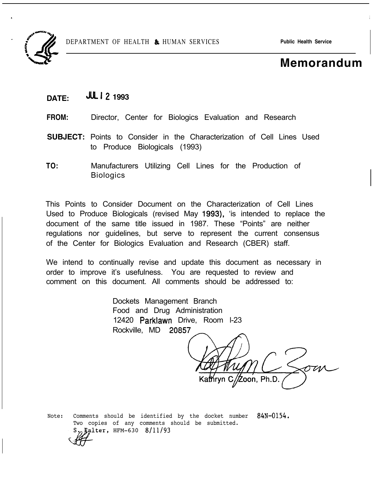

# **Memorandum 1**

## **DATE: Jut 12 1993**

- **FROM:** Director, Center for Biologics Evaluation and Research
- **SUBJECT:** Points to Consider in the Characterization of Cell Lines Used to Produce Biologicals (1993)
- **TO:** Manufacturers Utilizing Cell Lines for the Production of **Biologics**

This Points to Consider Document on the Characterization of Cell Lines Used to Produce Biologicals (revised May 1993), 'is intended to replace the document of the same title issued in 1987. These "Points" are neither regulations nor guidelines, but serve to represent the current consensus of the Center for Biologics Evaluation and Research (CBER) staff.

We intend to continually revise and update this document as necessary in order to improve it's usefulness. You are requested to review and comment on this document. All comments should be addressed to:

> Dockets Management Branch Food and Drug Administration 12420 Parklawn Drive, Room l-23 Rockville, MD 20857

rvn C/Zoon. Ph.D.

Note: Comments should be identified by the docket number 84N-0154. Two copies of any comments should be submitted.  $\mu$ <sub>alter</sub>,  $HFM-630$  8/11/93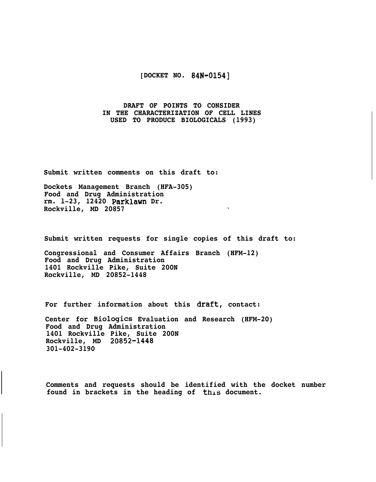#### **[DOCKET NO. 84N-01541**

#### **DRAFT OF POINTS TO CONSIDER IN THE CHARACTERIZATION OF CELL LINES USED TO PRODUCE BIOLOGICALS (1993)**

**Submit written comments on this draft to:**

**Dockets Management Branch (HFA-305) Food and Drug Administration rm. l-23, 12420 Parklawn Dr. Rockville, MD 20857**

**Submit written requests for single copies of this draft to:**

 $\mathbf{v}$ 

**Congressional and Consumer Affairs Branch (HFM-12) Food and Drug Administration 1401 Rockville Pike, Suite 200N Rockville, MD 20852-1448**

For further information about this draft, contact:

**Center for Biologics Evaluation and Research (HFM-20) Food and Drug Administration 1401 Rockville Pike, Suite 200N Rockville, MD 20852-1448 301-402-3190**

**Comments and requests should be identified with the docket number** found in brackets in the heading of this document.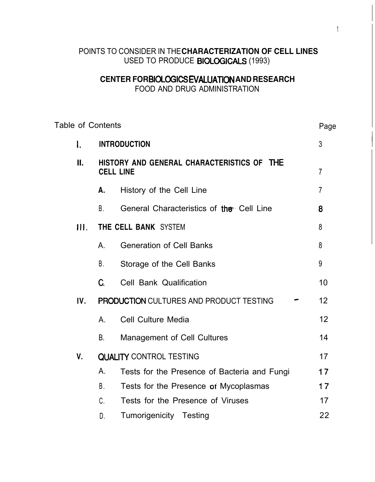## POINTS TO CONSIDER IN THE **CHARACTERIZATION OF CELL LINES** USED TO PRODUCE BIOLOGICALS (1993)

# **CENTER FOR BIOLOGICS EVALUATlON AND RESEARCH**

FOOD AND DRUG ADMINISTRATION

| <b>Table of Contents</b> |      |                                                                                       |                                                | Page           |
|--------------------------|------|---------------------------------------------------------------------------------------|------------------------------------------------|----------------|
| Ι.                       |      | <b>INTRODUCTION</b><br>HISTORY AND GENERAL CHARACTERISTICS OF THE<br><b>CELL LINE</b> |                                                |                |
| П.                       |      |                                                                                       |                                                |                |
|                          |      | Α.                                                                                    | History of the Cell Line                       | $\overline{7}$ |
|                          |      | В.                                                                                    | General Characteristics of the Cell Line       | 8              |
|                          | III. | THE CELL BANK SYSTEM                                                                  |                                                |                |
|                          |      | Α.                                                                                    | <b>Generation of Cell Banks</b>                | 8              |
|                          |      | В.                                                                                    | Storage of the Cell Banks                      | 9              |
|                          |      | C.                                                                                    | Cell Bank Qualification                        | 10             |
|                          | IV.  |                                                                                       | <b>PRODUCTION CULTURES AND PRODUCT TESTING</b> | 12             |
|                          |      | Α.                                                                                    | <b>Cell Culture Media</b>                      | 12             |
|                          |      | B.                                                                                    | <b>Management of Cell Cultures</b>             | 14             |
| V.                       |      | <b>QUALITY CONTROL TESTING</b>                                                        |                                                |                |
|                          |      | Α.                                                                                    | Tests for the Presence of Bacteria and Fungi   | 17             |
|                          |      | В.                                                                                    | Tests for the Presence of Mycoplasmas          | 17             |
|                          |      | C.                                                                                    | Tests for the Presence of Viruses              | 17             |
|                          |      | D.                                                                                    | Tumorigenicity Testing                         | 22             |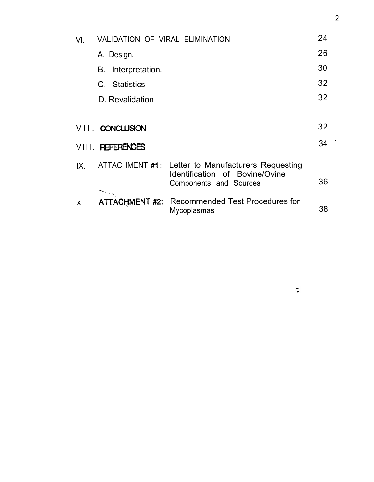| VI. | VALIDATION OF VIRAL ELIMINATION | 24                                                                                             |    |  |  |  |
|-----|---------------------------------|------------------------------------------------------------------------------------------------|----|--|--|--|
|     | A. Design.                      |                                                                                                | 26 |  |  |  |
|     | Interpretation.<br>В.           | 30                                                                                             |    |  |  |  |
|     | C. Statistics                   |                                                                                                |    |  |  |  |
|     | D. Revalidation                 |                                                                                                | 32 |  |  |  |
|     |                                 |                                                                                                |    |  |  |  |
|     | VII. CONCLUSION                 |                                                                                                | 32 |  |  |  |
|     | VIII. REFERENCES                |                                                                                                | 34 |  |  |  |
| IX. | ATTACHMENT #1:                  | Letter to Manufacturers Requesting<br>Identification of Bovine/Ovine<br>Components and Sources | 36 |  |  |  |
| X   | <b>ATTACHMENT #2:</b>           | <b>Recommended Test Procedures for</b><br>Mycoplasmas                                          | 38 |  |  |  |

2

 $\ddot{\phantom{1}}$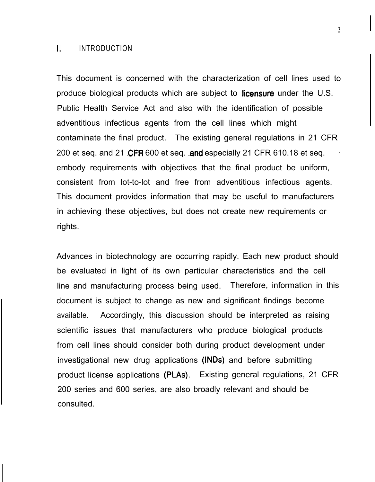#### I. INTRODUCTION

This document is concerned with the characterization of cell lines used to produce biological products which are subject to **licensure** under the U.S. Public Health Service Act and also with the identification of possible adventitious infectious agents from the cell lines which might contaminate the final product. The existing general regulations in 21 CFR 200 et seq. and 21 CFR 600 et seq. and especially 21 CFR 610.18 et seq. embody requirements with objectives that the final product be uniform, consistent from lot-to-lot and free from adventitious infectious agents. This document provides information that may be useful to manufacturers in achieving these objectives, but does not create new requirements or rights.

Advances in biotechnology are occurring rapidly. Each new product should be evaluated in light of its own particular characteristics and the cell line and manufacturing process being used. Therefore, information in this document is subject to change as new and significant findings become available. Accordingly, this discussion should be interpreted as raising scientific issues that manufacturers who produce biological products from cell lines should consider both during product development under investigational new drug applications (INDs) and before submitting product license applications (PLAs). Existing general regulations, 21 CFR 200 series and 600 series, are also broadly relevant and should be consulted.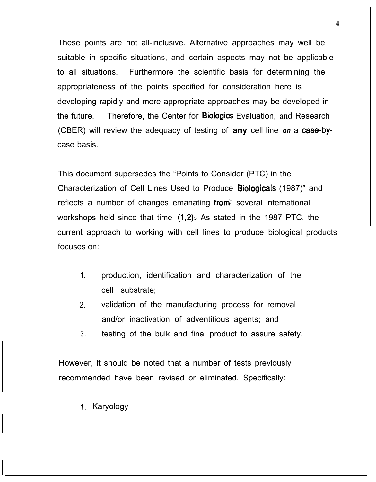These points are not all-inclusive. Alternative approaches may well be suitable in specific situations, and certain aspects may not be applicable to all situations. Furthermore the scientific basis for determining the appropriateness of the points specified for consideration here is developing rapidly and more appropriate approaches may be developed in the future. Therefore, the Center for Biologics Evaluation, and Research (CBER) will review the adequacy of testing of **any** cell line *on* a case-bycase basis.

This document supersedes the "Points to Consider (PTC) in the Characterization of Cell Lines Used to Produce Biologicals (1987)" and reflects a number of changes emanating from several international workshops held since that time  $(1,2)$ . As stated in the 1987 PTC, the current approach to working with cell lines to produce biological products focuses on:

- 1. production, identification and characterization of the cell substrate;
- 2. validation of the manufacturing process for removal and/or inactivation of adventitious agents; and
- 3. testing of the bulk and final product to assure safety.

However, it should be noted that a number of tests previously recommended have been revised or eliminated. Specifically:

<sup>1</sup>. Karyology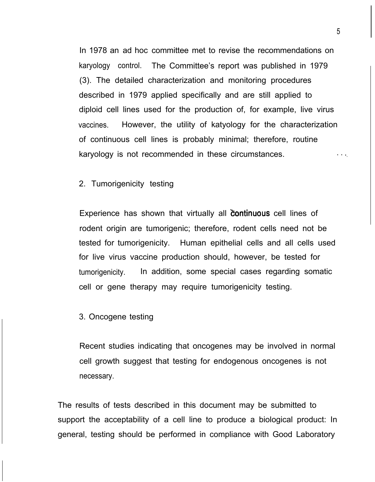In 1978 an ad hoc committee met to revise the recommendations on karyology control. The Committee's report was published in 1979 (3). The detailed characterization and monitoring procedures described in 1979 applied specifically and are still applied to diploid cell lines used for the production of, for example, live virus vaccines. However, the utility of katyology for the characterization of continuous cell lines is probably minimal; therefore, routine karyology is not recommended in these circumstances.

#### 2. Tumorigenicity testing

Experience has shown that virtually all **continuous** cell lines of rodent origin are tumorigenic; therefore, rodent cells need not be tested for tumorigenicity. Human epithelial cells and all cells used for live virus vaccine production should, however, be tested for tumorigenicity. In addition, some special cases regarding somatic cell or gene therapy may require tumorigenicity testing.

#### 3. Oncogene testing

Recent studies indicating that oncogenes may be involved in normal cell growth suggest that testing for endogenous oncogenes is not necessary.

The results of tests described in this document may be submitted to support the acceptability of a cell line to produce a biological product: In general, testing should be performed in compliance with Good Laboratory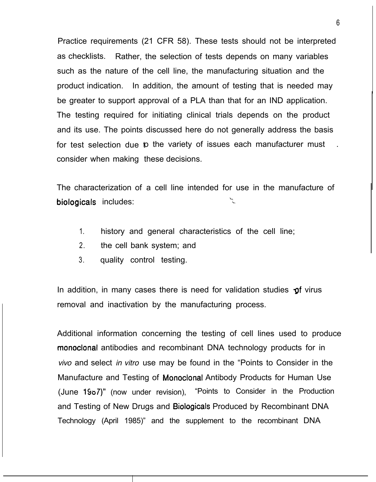Practice requirements (21 CFR 58). These tests should not be interpreted as checklists. Rather, the selection of tests depends on many variables such as the nature of the cell line, the manufacturing situation and the product indication. In addition, the amount of testing that is needed may be greater to support approval of a PLA than that for an IND application. The testing required for initiating clinical trials depends on the product and its use. The points discussed here do not generally address the basis for test selection due to the variety of issues each manufacturer must consider when making these decisions.

The characterization of a cell line intended for use in the manufacture of biologicals includes:

- 1. history and general characteristics of the cell line;
- 2. the cell bank system; and
- 3. quality control testing.

In addition, in many cases there is need for validation studies  $\mathbf{\dot{p}}$  virus removal and inactivation by the manufacturing process.

Additional information concerning the testing of cell lines used to produce monoclonal antibodies and recombinant DNA technology products for in *vivo* and select *in vitro* use may be found in the "Points to Consider in the Manufacture and Testing of Monoclonal Antibody Products for Human Use (June 1907)" (now under revision), "Points to Consider in the Production and Testing of New Drugs and Biologicals Produced by Recombinant DNA Technology (April 1985)" and the supplement to the recombinant DNA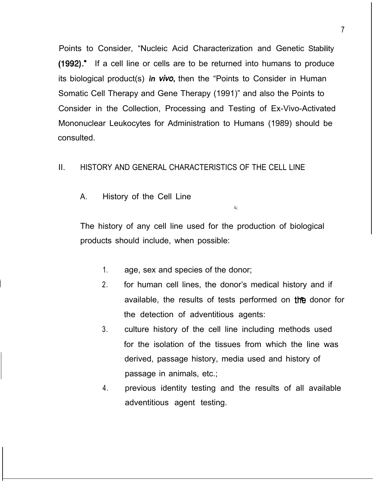Points to Consider, "Nucleic Acid Characterization and Genetic Stability (1992)." If a cell line or cells are to be returned into humans to produce its biological product(s) *in vivo*, then the "Points to Consider in Human Somatic Cell Therapy and Gene Therapy (1991)" and also the Points to Consider in the Collection, Processing and Testing of Ex-Vivo-Activated Mononuclear Leukocytes for Administration to Humans (1989) should be consulted.

## II. HISTORY AND GENERAL CHARACTERISTICS OF THE CELL LINE

A. History of the Cell Line

The history of any cell line used for the production of biological products should include, when possible:

- 1. age, sex and species of the donor;
- 2. for human cell lines, the donor's medical history and if available, the results of tests performed on the donor for the detection of adventitious agents:

 $\mathcal{L}$ 

- 3. culture history of the cell line including methods used for the isolation of the tissues from which the line was derived, passage history, media used and history of passage in animals, etc.;
- 4. previous identity testing and the results of all available adventitious agent testing.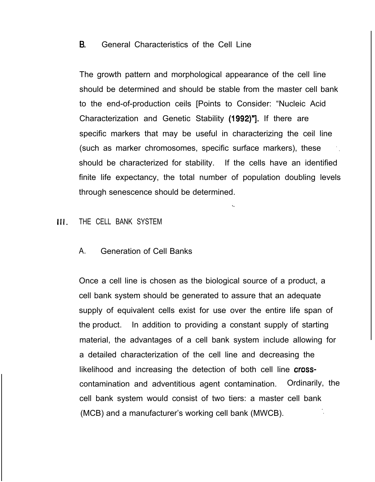## 8. General Characteristics of the Cell Line

The growth pattern and morphological appearance of the cell line should be determined and should be stable from the master cell bank to the end-of-production ceils [Points to Consider: "Nucleic Acid Characterization and Genetic Stability (1992)"]. If there are specific markers that may be useful in characterizing the ceil line (such as marker chromosomes, specific surface markers), these should be characterized for stability. If the cells have an identified finite life expectancy, the total number of population doubling levels through senescence should be determined.

### III. THE CELL BANK SYSTEM

#### A. Generation of Cell Banks

Once a cell line is chosen as the biological source of a product, a cell bank system should be generated to assure that an adequate supply of equivalent cells exist for use over the entire life span of the product. In addition to providing a constant supply of starting material, the advantages of a cell bank system include allowing for a detailed characterization of the cell line and decreasing the likelihood and increasing the detection of both cell line crosscontamination and adventitious agent contamination. Ordinarily, the cell bank system would consist of two tiers: a master cell bank (MCB) and a manufacturer's working cell bank (MWCB).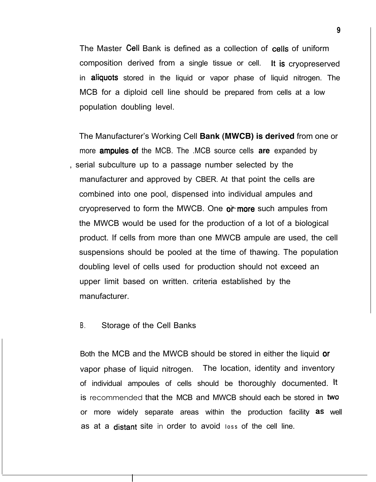The Master Cell Bank is defined as a collection of cells of uniform composition derived from a single tissue or cell. It is cryopreserved in **aliquots** stored in the liquid or vapor phase of liquid nitrogen. The MCB for a diploid cell line should be prepared from cells at a low population doubling level.

The Manufacturer's Working Cell **Bank (MWCB) is derived** from one or more ampules..of the MCB. The .MCB source cells **are** expanded by , serial subculture up to a passage number selected by the manufacturer and approved by CBER. At that point the cells are combined into one pool, dispensed into individual ampules and cryopreserved to form the MWCB. One  $o^*$  more such ampules from the MWCB would be used for the production of a lot of a biological product. If cells from more than one MWCB ampule are used, the cell suspensions should be pooled at the time of thawing. The population doubling level of cells used for production should not exceed an upper limit based on written. criteria established by the manufacturer.

#### B. Storage of the Cell Banks

Both the MCB and the MWCB should be stored in either the liquid or vapor phase of liquid nitrogen. The location, identity and inventory of individual ampoules of cells should be thoroughly documented. It is recommended that the MCB and MWCB should each be stored in two or more widely separate areas within the production facility as well as at a distant site in order to avoid loss of the cell line.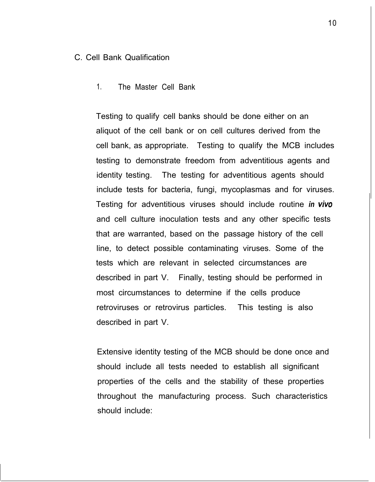#### C. Cell Bank Qualification

### 1. The Master Cell Bank

Testing to qualify cell banks should be done either on an aliquot of the cell bank or on cell cultures derived from the cell bank, as appropriate. Testing to qualify the MCB includes testing to demonstrate freedom from adventitious agents and identity testing. The testing for adventitious agents should include tests for bacteria, fungi, mycoplasmas and for viruses. Testing for adventitious viruses should include routine *in viva* and cell culture inoculation tests and any other specific tests that are warranted, based on the passage history of the cell line, to detect possible contaminating viruses. Some of the tests which are relevant in selected circumstances are described in part V. Finally, testing should be performed in most circumstances to determine if the cells produce retroviruses or retrovirus particles. This testing is also described in part V.

Extensive identity testing of the MCB should be done once and should include all tests needed to establish all significant properties of the cells and the stability of these properties throughout the manufacturing process. Such characteristics should include: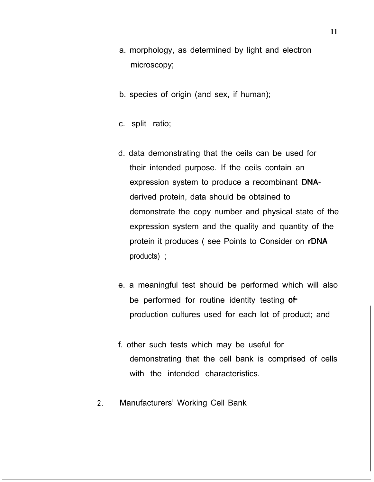- a. morphology, as determined by light and electron microscopy;
- b. species of origin (and sex, if human);
- c. split ratio;
- d. data demonstrating that the ceils can be used for their intended purpose. If the ceils contain an expression system to produce a recombinant DNAderived protein, data should be obtained to demonstrate the copy number and physical state of the expression system and the quality and quantity of the protein it produces ( see Points to Consider on rDNA products) ;
- e. a meaningful test should be performed which will also be performed for routine identity testing of production cultures used for each lot of product; and
- f. other such tests which may be useful for demonstrating that the cell bank is comprised of cells with the intended characteristics.

<u>I i svjetski postava i svoji s objavlja i svoji s objavlja i stari s objavlja i stari s objavlja i stari s ob</u>

2. Manufacturers' Working Cell Bank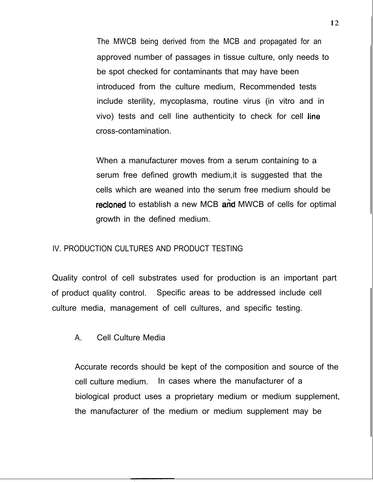The MWCB being derived from the MCB and propagated for an approved number of passages in tissue culture, only needs to be spot checked for contaminants that may have been introduced from the culture medium, Recommended tests include sterility, mycoplasma, routine virus (in vitro and in vivo) tests and cell line authenticity to check for cell line cross-contamination.

When a manufacturer moves from a serum containing to a serum free defined growth medium,it is suggested that the cells which are weaned into the serum free medium should be recloned to establish a new MCB and MWCB of cells for optimal growth in the defined medium.

## IV. PRODUCTION CULTURES AND PRODUCT TESTING

Quality control of cell substrates used for production is an important part of product quality control. Specific areas to be addressed include cell culture media, management of cell cultures, and specific testing.

A. Cell Culture Media

Accurate records should be kept of the composition and source of the cell culture medium. In cases where the manufacturer of a biological product uses a proprietary medium or medium supplement, the manufacturer of the medium or medium supplement may be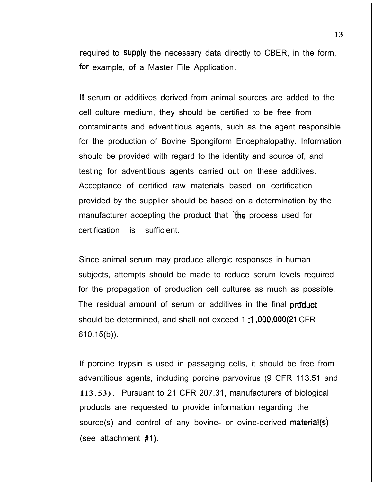required to Supply the necessary data directly to CBER, in the form, for example, of a Master File Application.

If serum or additives derived from animal sources are added to the cell culture medium, they should be certified to be free from contaminants and adventitious agents, such as the agent responsible for the production of Bovine Spongiform Encephalopathy. Information should be provided with regard to the identity and source of, and testing for adventitious agents carried out on these additives. Acceptance of certified raw materials based on certification provided by the supplier should be based on a determination by the manufacturer accepting the product that the process used for certification is sufficient.

Since animal serum may produce allergic responses in human subjects, attempts should be made to reduce serum levels required for the propagation of production cell cultures as much as possible. The residual amount of serum or additives in the final **product** should be determined, and shall not exceed 1 :I ,000,000(21 CFR 610.15(b)).

If porcine trypsin is used in passaging cells, it should be free from adventitious agents, including porcine parvovirus (9 CFR 113.51 and 113. 53) . Pursuant to 21 CFR 207.31, manufacturers of biological products are requested to provide information regarding the source(s) and control of any bovine- or ovine-derived material(s) (see attachment #I).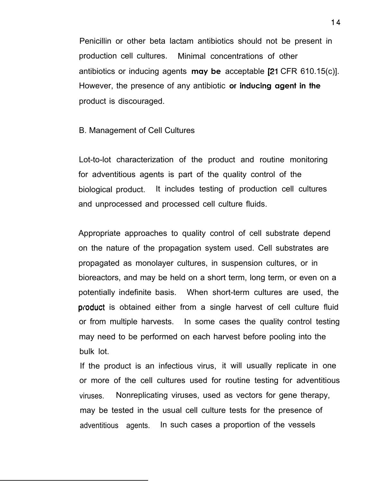Penicillin or other beta lactam antibiotics should not be present in production cell cultures. Minimal concentrations of other antibiotics or inducing agents **may be** acceptable [21 CFR 610.15(c)]. However, the presence of any antibiotic **or inducing agent in the** product is discouraged.

#### B. Management of Cell Cultures

Lot-to-lot characterization of the product and routine monitoring for adventitious agents is part of the quality control of the biological product. It includes testing of production cell cultures and unprocessed and processed cell culture fluids.

Appropriate approaches to quality control of cell substrate depend on the nature of the propagation system used. Cell substrates are propagated as monolayer cultures, in suspension cultures, or in bioreactors, and may be held on a short term, long term, or even on a potentially indefinite basis. When short-term cultures are used, the product is obtained either from a single harvest of cell culture fluid or from multiple harvests. In some cases the quality control testing may need to be performed on each harvest before pooling into the bulk lot.

If the product is an infectious virus, it will usually replicate in one or more of the cell cultures used for routine testing for adventitious viruses. Nonreplicating viruses, used as vectors for gene therapy, may be tested in the usual cell culture tests for the presence of adventitious agents. In such cases a proportion of the vessels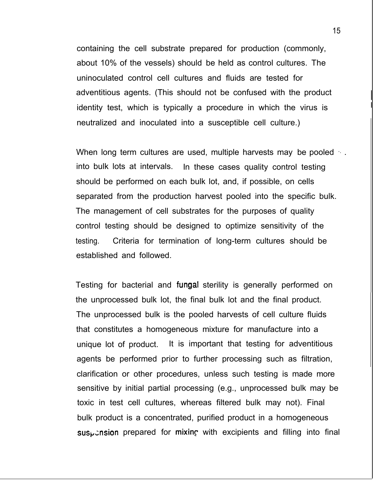containing the cell substrate prepared for production (commonly, about 10% of the vessels) should be held as control cultures. The uninoculated control cell cultures and fluids are tested for adventitious agents. (This should not be confused with the product identity test, which is typically a procedure in which the virus is neutralized and inoculated into a susceptible cell culture.)

When long term cultures are used, multiple harvests may be pooled ... into bulk lots at intervals. In these cases quality control testing should be performed on each bulk lot, and, if possible, on cells separated from the production harvest pooled into the specific bulk. The management of cell substrates for the purposes of quality control testing should be designed to optimize sensitivity of the testing. Criteria for termination of long-term cultures should be established and followed.

Testing for bacterial and fungal sterility is generally performed on the unprocessed bulk lot, the final bulk lot and the final product. The unprocessed bulk is the pooled harvests of cell culture fluids that constitutes a homogeneous mixture for manufacture into a unique lot of product. It is important that testing for adventitious agents be performed prior to further processing such as filtration, clarification or other procedures, unless such testing is made more sensitive by initial partial processing (e.g., unprocessed bulk may be toxic in test cell cultures, whereas filtered bulk may not). Final bulk product is a concentrated, purified product in a homogeneous  $sus<sub>k</sub>$ :nsion prepared for mixing with excipients and filling into final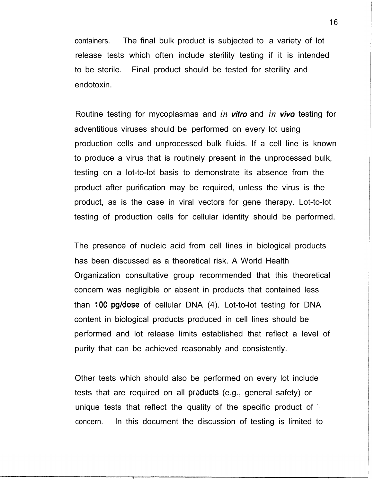containers. The final bulk product is subjected to a variety of lot release tests which often include sterility testing if it is intended to be sterile. Final product should be tested for sterility and endotoxin.

Routine testing for mycoplasmas and *in vitro* and *in vivo testing for* adventitious viruses should be performed on every lot using production cells and unprocessed bulk fluids. If a cell line is known to produce a virus that is routinely present in the unprocessed bulk, testing on a lot-to-lot basis to demonstrate its absence from the product after purification may be required, unless the virus is the product, as is the case in viral vectors for gene therapy. Lot-to-lot testing of production cells for cellular identity should be performed.

The presence of nucleic acid from cell lines in biological products has been discussed as a theoretical risk. A World Health Organization consultative group recommended that this theoretical concern was negligible or absent in products that contained less than 100 pg/dose of cellular DNA (4). Lot-to-lot testing for DNA content in biological products produced in cell lines should be performed and lot release limits established that reflect a level of purity that can be achieved reasonably and consistently.

Other tests which should also be performed on every lot include tests that are required on all products (e.g., general safety) or unique tests that reflect the quality of the specific product of concern. In this document the discussion of testing is limited to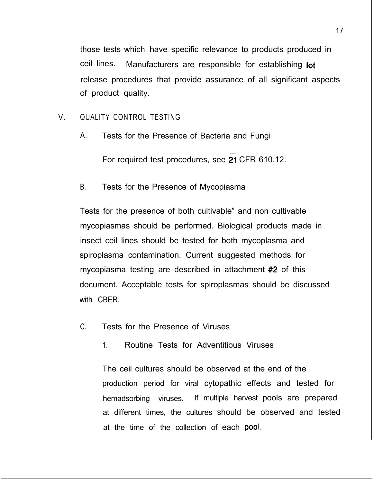those tests which have specific relevance to products produced in ceil lines. Manufacturers are responsible for establishing lot release procedures that provide assurance of all significant aspects of product quality.

## V. QUALITY CONTROL TESTING

A. Tests for the Presence of Bacteria and Fungi

For required test procedures, see 21 CFR 610.12.

B. Tests for the Presence of Mycopiasma

Tests for the presence of both cultivable" and non cultivable mycopiasmas should be performed. Biological products made in insect ceil lines should be tested for both mycoplasma and spiroplasma contamination. Current suggested methods for mycopiasma testing are described in attachment #2 of this document. Acceptable tests for spiroplasmas should be discussed with CBER.

- C. Tests for the Presence of Viruses
	- 1. Routine Tests for Adventitious Viruses

The ceil cultures should be observed at the end of the production period for viral cytopathic effects and tested for hemadsorbing viruses. If multiple harvest pools are prepared at different times, the cultures should be observed and tested at the time of the collection of each **pool.**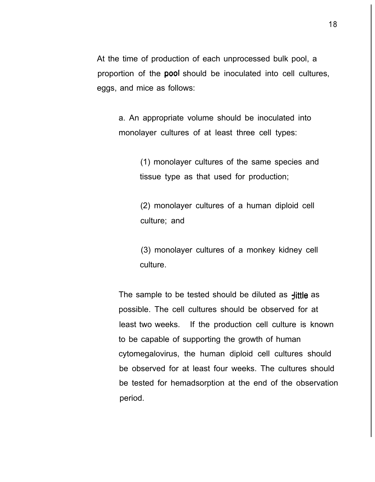At the time of production of each unprocessed bulk pool, a proportion of the **pool** should be inoculated into cell cultures, eggs, and mice as follows:

a. An appropriate volume should be inoculated into monolayer cultures of at least three cell types:

> (1) monolayer cultures of the same species and tissue type as that used for production;

(2) monolayer cultures of a human diploid cell culture; and

(3) monolayer cultures of a monkey kidney cell culture.

The sample to be tested should be diluted as  $\frac{1}{1}$ ttle as possible. The cell cultures should be observed for at least two weeks. If the production cell culture is known to be capable of supporting the growth of human cytomegalovirus, the human diploid cell cultures should be observed for at least four weeks. The cultures should be tested for hemadsorption at the end of the observation period.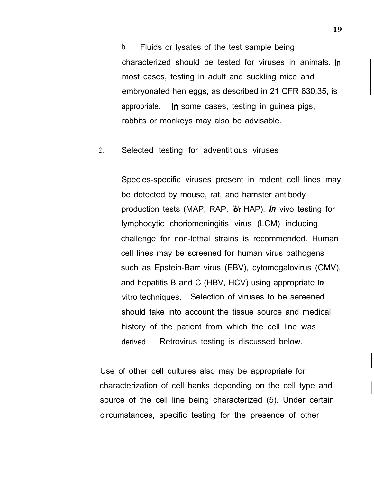b. Fluids or lysates of the test sample being characterized should be tested for viruses in animals. ln most cases, testing in adult and suckling mice and embryonated hen eggs, as described in 21 CFR 630.35, is appropriate. In some cases, testing in guinea pigs, rabbits or monkeys may also be advisable.

2. Selected testing for adventitious viruses

Species-specific viruses present in rodent cell lines may be detected by mouse, rat, and hamster antibody production tests (MAP, RAP,  $\delta r$  HAP). *In* vivo testing for lymphocytic choriomeningitis virus (LCM) including challenge for non-lethal strains is recommended. Human cell lines may be screened for human virus pathogens such as Epstein-Barr virus (EBV), cytomegalovirus (CMV), and hepatitis B and C (HBV, HCV) using appropriate *in* vitro techniques. Selection of viruses to be sereened should take into account the tissue source and medical history of the patient from which the cell line was derived. Retrovirus testing is discussed below.

Use of other cell cultures also may be appropriate for characterization of cell banks depending on the cell type and source of the cell line being characterized (5). Under certain circumstances, specific testing for the presence of other .'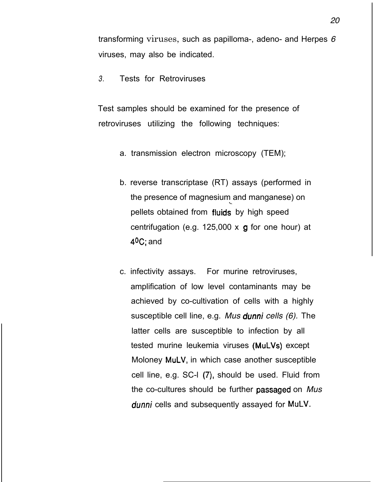transforming viruses, such as papilloma-, adeno- and Herpes *6* viruses, may also be indicated.

*3.* Tests for Retroviruses

Test samples should be examined for the presence of retroviruses utilizing the following techniques:

- a. transmission electron microscopy (TEM);
- b. reverse transcriptase (RT) assays (performed in the presence of magnesium and manganese) on pellets obtained from fluids by high speed centrifugation (e.g. 125,000  $\times$  g for one hour) at  $40C$ ; and
- c. infectivity assays. For murine retroviruses, amplification of low level contaminants may be achieved by co-cultivation of cells with a highly susceptible cell line, e.g. *Mus dunni cells (6).* The latter cells are susceptible to infection by all tested murine leukemia viruses (MuLVs) except Moloney MuLV, in which case another susceptible cell line, e.g. SC-I (7), should be used. Fluid from the co-cultures should be further passaged on *Mus* dunni cells and subsequently assayed for MuLV.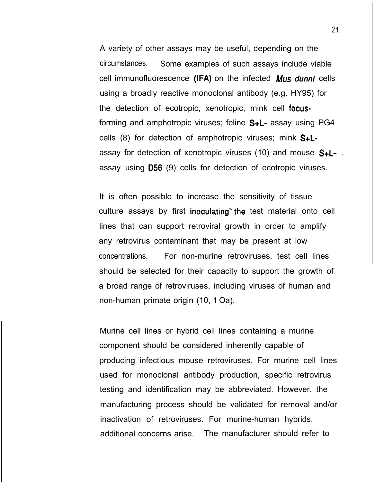A variety of other assays may be useful, depending on the circumstances. Some examples of such assays include viable cell immunofluorescence (IFA) on the infected  $M\mu s$  dunni cells using a broadly reactive monoclonal antibody (e.g. HY95) for the detection of ecotropic, xenotropic, mink cell focusforming and amphotropic viruses; feline S+L- assay using PG4 cells  $(8)$  for detection of amphotropic viruses; mink  $S + L$ assay for detection of xenotropic viruses (10) and mouse  $S + L$ -. assay using 056 (9) cells for detection of ecotropic viruses.

It is often possible to increase the sensitivity of tissue culture assays by first inoculating"'the test material onto cell lines that can support retroviral growth in order to amplify any retrovirus contaminant that may be present at low concentrations. For non-murine retroviruses, test cell lines should be selected for their capacity to support the growth of a broad range of retroviruses, including viruses of human and non-human primate origin (10, I Oa).

Murine cell lines or hybrid cell lines containing a murine component should be considered inherently capable of producing infectious mouse retroviruses. For murine cell lines used for monoclonal antibody production, specific retrovirus testing and identification may be abbreviated. However, the manufacturing process should be validated for removal and/or inactivation of retroviruses. For murine-human hybrids, additional concerns arise. The manufacturer should refer to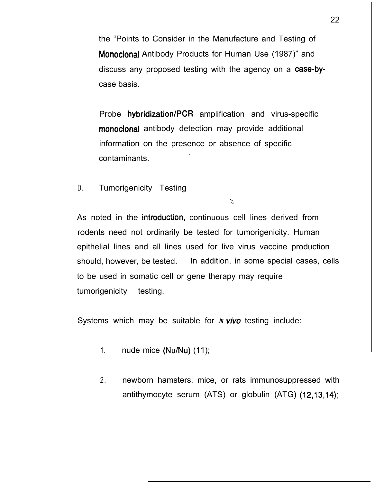the "Points to Consider in the Manufacture and Testing of Monoclonal Antibody Products for Human Use (1987)" and discuss any proposed testing with the agency on a case-bycase basis.

Probe hybridization/PCR amplification and virus-specific monoclonal antibody detection may provide additional information on the presence or absence of specific contaminants. .

D. Tumorigenicity Testing

As noted in the introduction, continuous cell lines derived from rodents need not ordinarily be tested for tumorigenicity. Human epithelial lines and all lines used for live virus vaccine production should, however, be tested. In addition, in some special cases, cells to be used in somatic cell or gene therapy may require tumorigenicity testing.

 $\mathbb{R}$ 

Systems which may be suitable for *in vivo* testing include:

- 1. nude mice (Nu/Nu) (11);
- 2. newborn hamsters, mice, or rats immunosuppressed with antithymocyte serum (ATS) or globulin (ATG) (12,13,14);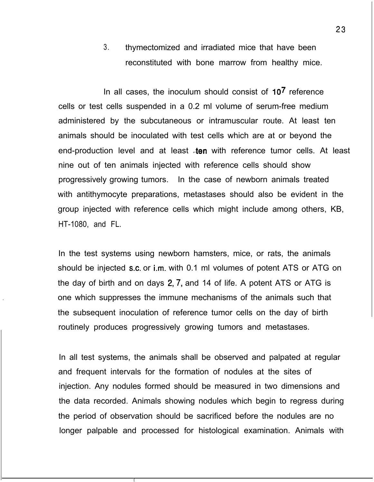3. thymectomized and irradiated mice that have been reconstituted with bone marrow from healthy mice.

In all cases, the inoculum should consist of  $10<sup>7</sup>$  reference cells or test cells suspended in a 0.2 ml volume of serum-free medium administered by the subcutaneous or intramuscular route. At least ten animals should be inoculated with test cells which are at or beyond the end-production level and at least -ten with reference tumor cells. At least nine out of ten animals injected with reference cells should show progressively growing tumors. In the case of newborn animals treated with antithymocyte preparations, metastases should also be evident in the group injected with reference cells which might include among others, KB, HT-1080, and FL.

In the test systems using newborn hamsters, mice, or rats, the animals should be injected s.c. or i.m. with 0.1 ml volumes of potent ATS or ATG on the day of birth and on days 2, 7, and 14 of life. A potent ATS or ATG is one which suppresses the immune mechanisms of the animals such that the subsequent inoculation of reference tumor cells on the day of birth routinely produces progressively growing tumors and metastases.

.

In all test systems, the animals shall be observed and palpated at regular and frequent intervals for the formation of nodules at the sites of injection. Any nodules formed should be measured in two dimensions and the data recorded. Animals showing nodules which begin to regress during the period of observation should be sacrificed before the nodules are no longer palpable and processed for histological examination. Animals with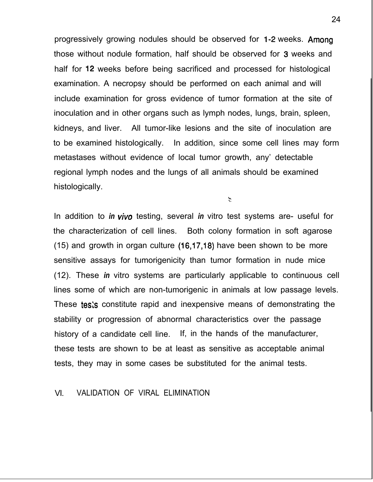progressively growing nodules should be observed for 1-2 weeks. Among those without nodule formation, half should be observed for 3 weeks and half for 12 weeks before being sacrificed and processed for histological examination. A necropsy should be performed on each animal and will include examination for gross evidence of tumor formation at the site of inoculation and in other organs such as lymph nodes, lungs, brain, spleen, kidneys, and liver. All tumor-like lesions and the site of inoculation are to be examined histologically. In addition, since some cell lines may form metastases without evidence of local tumor growth, any' detectable regional lymph nodes and the lungs of all animals should be examined histologically.

 $\mathcal{L}$ 

In addition to *in* viva testing, several *in* vitro test systems are- useful for the characterization of cell lines. Both colony formation in soft agarose (15) and growth in organ culture (16,17,18) have been shown to be more sensitive assays for tumorigenicity than tumor formation in nude mice (12). These *in* vitro systems are particularly applicable to continuous cell lines some of which are non-tumorigenic in animals at low passage levels. These tests constitute rapid and inexpensive means of demonstrating the stability or progression of abnormal characteristics over the passage history of a candidate cell line. If, in the hands of the manufacturer, these tests are shown to be at least as sensitive as acceptable animal tests, they may in some cases be substituted for the animal tests.

#### VI. VALIDATION OF VIRAL ELIMINATION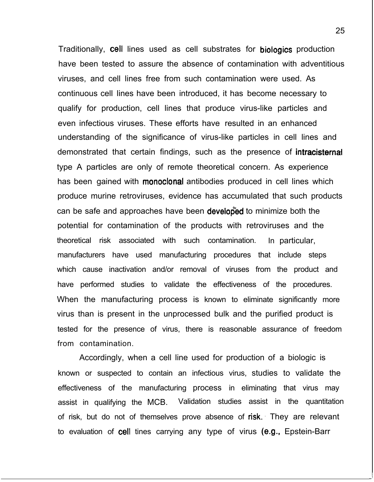Traditionally, cell lines used as cell substrates for biologics production have been tested to assure the absence of contamination with adventitious viruses, and cell lines free from such contamination were used. As continuous cell lines have been introduced, it has become necessary to qualify for production, cell lines that produce virus-like particles and even infectious viruses. These efforts have resulted in an enhanced understanding of the significance of virus-like particles in cell lines and demonstrated that certain findings, such as the presence of **intracisternal** type A particles are only of remote theoretical concern. As experience has been gained with **monoclonal** antibodies produced in cell lines which produce murine retroviruses, evidence has accumulated that such products can be safe and approaches have been developed to minimize both the potential for contamination of the products with retroviruses and the theoretical risk associated with such contamination. In particular, manufacturers have used manufacturing procedures that include steps which cause inactivation and/or removal of viruses from the product and have performed studies to validate the effectiveness of the procedures. When the manufacturing process is known to eliminate significantly more virus than is present in the unprocessed bulk and the purified product is tested for the presence of virus, there is reasonable assurance of freedom from contamination.

Accordingly, when a cell line used for production of a biologic is known or suspected to contain an infectious virus, studies to validate the effectiveness of the manufacturing process in eliminating that virus may assist in qualifying the MCB. Validation studies assist in the quantitation of risk, but do not of themselves prove absence of risk. They are relevant to evaluation of cell tines carrying any type of virus (e.g.. Epstein-Barr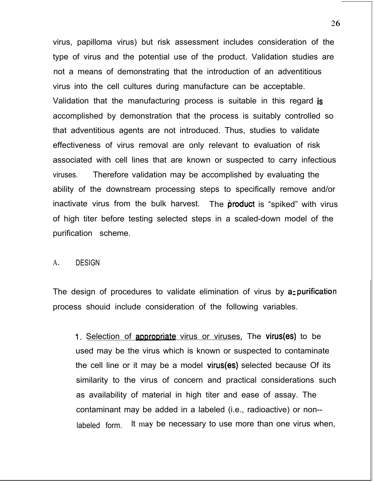virus, papilloma virus) but risk assessment includes consideration of the type of virus and the potential use of the product. Validation studies are not a means of demonstrating that the introduction of an adventitious virus into the cell cultures during manufacture can be acceptable. Validation that the manufacturing process is suitable in this regard is accomplished by demonstration that the process is suitably controlled so that adventitious agents are not introduced. Thus, studies to validate effectiveness of virus removal are only relevant to evaluation of risk associated with cell lines that are known or suspected to carry infectious viruses. Therefore validation may be accomplished by evaluating the ability of the downstream processing steps to specifically remove and/or inactivate virus from the bulk harvest. The **product** is "spiked" with virus of high titer before testing selected steps in a scaled-down model of the purification scheme.

#### A. DESIGN

The design of procedures to validate elimination of virus by a-purification process shouid include consideration of the following variables.

1. Selection of appropriate virus or viruses. The virus(es) to be used may be the virus which is known or suspected to contaminate the cell line or it may be a model virus(es) selected because Of its similarity to the virus of concern and practical considerations such as availability of material in high titer and ease of assay. The contaminant may be added in a labeled (i.e., radioactive) or non- labeled form. lt may be necessary to use more than one virus when,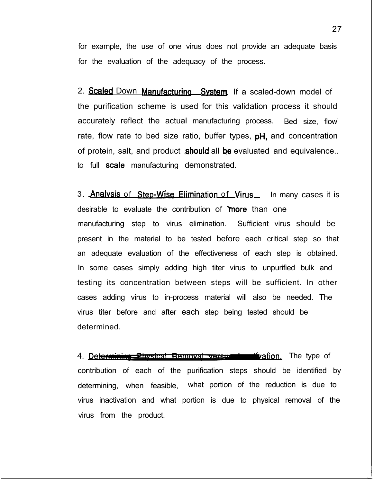for example, the use of one virus does not provide an adequate basis for the evaluation of the adequacy of the process.

2. Scaled Down Manufacturing System. If a scaled-down model of the purification scheme is used for this validation process it should accurately reflect the actual manufacturing process. Bed size, flow' rate, flow rate to bed size ratio, buffer types,  $pH$ , and concentration of protein, salt, and product **should** all be evaluated and equivalence.. to full scale manufacturing demonstrated.

3. Analysis of Step-Wise Elimination of Virus. In many cases it is desirable to evaluate the contribution of more than one manufacturing step to virus elimination. Sufficient virus should be present in the material to be tested before each critical step so that an adequate evaluation of the effectiveness of each step is obtained. In some cases simply adding high titer virus to unpurified bulk and testing its concentration between steps will be sufficient. In other cases adding virus to in-process material will also be needed. The virus titer before and after each step being tested should be determined.

4. Determining Physical Removal versus in the type of contribution of each of the purification steps should be identified by determining, when feasible, what portion of the reduction is due to virus inactivation and what portion is due to physical removal of the virus from the product.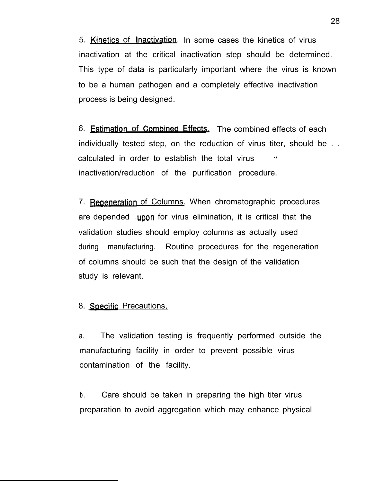5. Kinetics of Inactivation. In some cases the kinetics of virus inactivation at the critical inactivation step should be determined. This type of data is particularly important where the virus is known to be a human pathogen and a completely effective inactivation process is being designed.

6. Estimation of Combined Effects. The combined effects of each individually tested step, on the reduction of virus titer, should be . . calculated in order to establish the total virus .\* inactivation/reduction of the purification procedure.

7. Regeneration of Columns. When chromatographic procedures are depended upon for virus elimination, it is critical that the validation studies should employ columns as actually used during manufacturing. Routine procedures for the regeneration of columns should be such that the design of the validation study is relevant.

8. Specific Precautions.

a. The validation testing is frequently performed outside the manufacturing facility in order to prevent possible virus contamination of the facility.

b. Care should be taken in preparing the high titer virus preparation to avoid aggregation which may enhance physical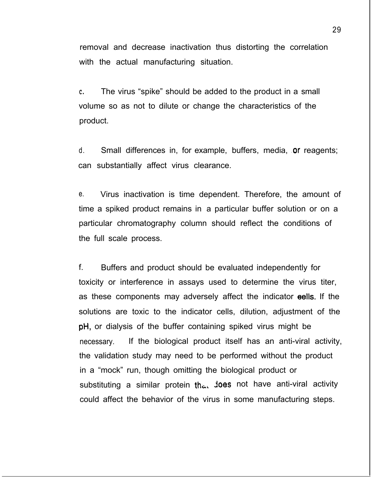removal and decrease inactivation thus distorting the correlation with the actual manufacturing situation.

**C.** The virus "spike" should be added to the product in a small volume so as not to dilute or change the characteristics of the product.

d. Small differences in, for example, buffers, media, or reagents; can substantially affect virus clearance.

e. Virus inactivation is time dependent. Therefore, the amount of time a spiked product remains in a particular buffer solution or on a particular chromatography column should reflect the conditions of the full scale process.

f. Buffers and product should be evaluated independently for toxicity or interference in assays used to determine the virus titer, as these components may adversely affect the indicator eells. If the solutions are toxic to the indicator cells, dilution, adjustment of the pH, or dialysis of the buffer containing spiked virus might be necessary. If the biological product itself has an anti-viral activity, the validation study may need to be performed without the product in a "mock" run, though omitting the biological product or substituting a similar protein that joes not have anti-viral activity could affect the behavior of the virus in some manufacturing steps.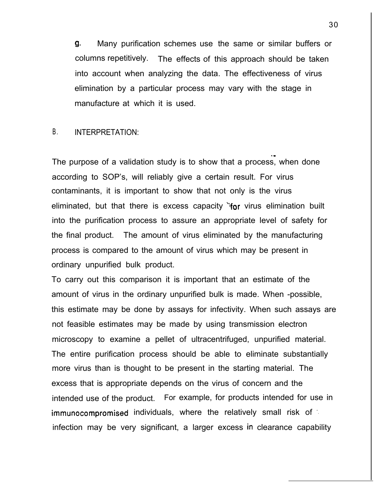9. Many purification schemes use the same or similar buffers or columns repetitively. The effects of this approach should be taken into account when analyzing the data. The effectiveness of virus elimination by a particular process may vary with the stage in manufacture at which it is used.

-w

### B. **INTERPRETATION:**

The purpose of a validation study is to show that a process, when done according to SOP's, will reliably give a certain result. For virus contaminants, it is important to show that not only is the virus eliminated, but that there is excess capacity  $\gamma$  virus elimination built into the purification process to assure an appropriate level of safety for the final product. The amount of virus eliminated by the manufacturing process is compared to the amount of virus which may be present in ordinary unpurified bulk product.

To carry out this comparison it is important that an estimate of the amount of virus in the ordinary unpurified bulk is made. When -possible, this estimate may be done by assays for infectivity. When such assays are not feasible estimates may be made by using transmission electron microscopy to examine a pellet of ultracentrifuged, unpurified material. The entire purification process should be able to eliminate substantially more virus than is thought to be present in the starting material. The excess that is appropriate depends on the virus of concern and the intended use of the product. For example, for products intended for use in immunocompromised individuals, where the relatively small risk of infection may be very significant, a larger excess in clearance capability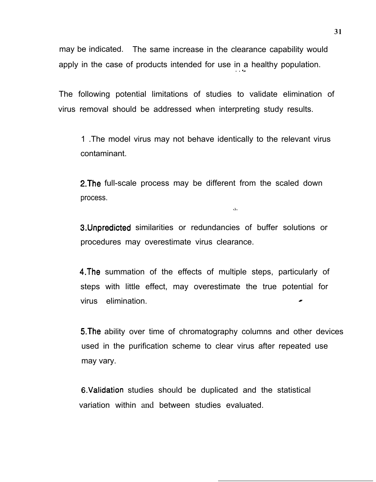may be indicated. The same increase in the clearance capability would apply in the case of products intended for use in a healthy population.

The following potential limitations of studies to validate elimination of virus removal should be addressed when interpreting study results.

1 .The model virus may not behave identically to the relevant virus contaminant.

2.The full-scale process may be different from the scaled down process.

3.Unpredicted similarities or redundancies of buffer solutions or procedures may overestimate virus clearance.

 $\hat{Q}$ 

4.The summation of the effects of multiple steps, particularly of steps with little effect, may overestimate the true potential for virus elimination.

S.The ability over time of chromatography columns and other devices used in the purification scheme to clear virus after repeated use may vary.

G.Validation studies should be duplicated and the statistical variation within and between studies evaluated.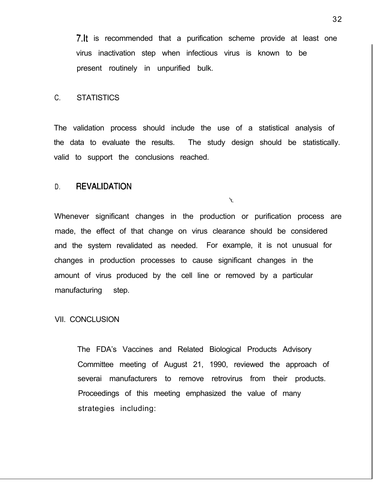7. It is recommended that a purification scheme provide at least one virus inactivation step when infectious virus is known to be present routinely in unpurified bulk.

#### C. STATISTICS

The validation process should include the use of a statistical analysis of the data to evaluate the results. The study design should be statistically. valid to support the conclusions reached.

## D. REVALIDATION

 $\mathcal{N}$ .

Whenever significant changes in the production or purification process are made, the effect of that change on virus clearance should be considered and the system revalidated as needed. For example, it is not unusual for changes in production processes to cause significant changes in the amount of virus produced by the cell line or removed by a particular manufacturing step.

#### VII. CONCLUSION

The FDA's Vaccines and Related Biological Products Advisory Committee meeting of August 21, 1990, reviewed the approach of severai manufacturers to remove retrovirus from their products. Proceedings of this meeting emphasized the value of many strategies including: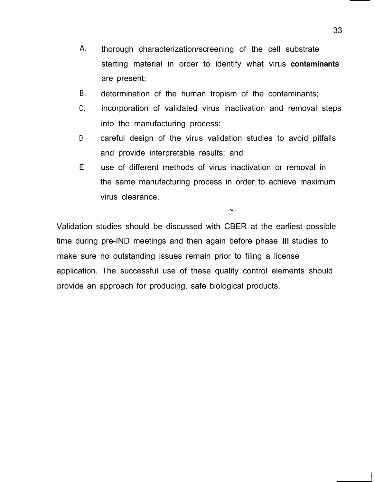- A. thorough characterization/screening of the cell substrate starting material in order to identify what virus **contaminants** are present;
- B. determination of the human tropism of the contaminants;
- $C_{\cdot}$ incorporation of validated virus inactivation and removal steps into the manufacturing process:
- D. careful design of the virus validation studies to avoid pitfalls and provide interpretable results; and
- E use of different methods of virus inactivation or removal in the same manufacturing process in order to achieve maximum virus clearance.

 $\mathbf{v}_k$  .

Validation studies should be discussed with CBER at the earliest possible time during pre-IND meetings and then again before phase Ill studies to make sure no outstanding issues remain prior to filing a license application. The successful use of these quality control elements should provide an approach for producing. safe biological products.

-I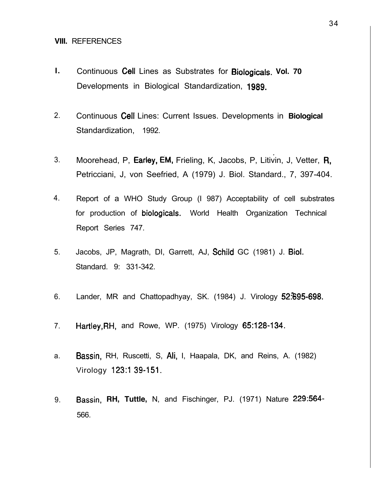### **VIII.** REFERENCES

- **I.** Continuous Cell Lines as Substrates for **Biologicals. Vol. 70** Developments in Biological Standardization, **1989.**
- 2. Continuous cell Lines: Current Issues. Developments in **Biological** Standardization, 1992.
- . 3. Moorehead, P, Earley, EM, Frieling, K, Jacobs, P, Litivin, J, Vetter, R, Petricciani, J, von Seefried, A (1979) J. Biol. Standard., 7, 397-404.
- 4. Report of a WHO Study Group (I 987) Acceptability of cell substrates for production of biologicals. World Health Organization Technical Report Series 747.
- 5. Jacobs, JP, Magrath, DI, Garrett, AJ, Schild GC (1981) J. Biol. Standard. 9: 331-342.
- 6. Lander, MR and Chattopadhyay, SK. (1984) J. Virology 52%95-698.
- 7. **Hartley,RH,** and Rowe, WP. (1975) Virology 65:128-134.
- a. Bassin, RH, Ruscetti, S, Ali, I, Haapala, DK, and Reins, A. (1982) Virology 123:I 39-151.
- 9. Bassin, **RH, Tuttle,** N, and Fischinger, PJ. (1971) Nature 229:564- 566.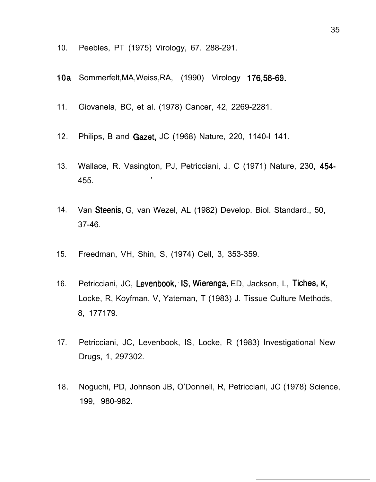- 10. Peebles, PT (1975) Virology, 67. 288-291.
- 1Oa Sommerfelt,MA,Weiss,RA, (1990) Virology 176.58-69.
- 11. Giovanela, BC, et al. (1978) Cancer, 42, 2269-2281.
- 12. Philips, B and Gazet, JC (1968) Nature, 220, 1140-l 141.
- 13. Wallace, R. Vasington, PJ, Petricciani, J. C (1971) Nature, 230, 454- \_ 455.
- 14. Van Steenis, G, van Wezel, AL (1982) Develop. Biol. Standard., 50, 37-46.
- 15. Freedman, VH, Shin, S, (1974) Cell, 3, 353-359.
- 16. Petricciani, JC, Levenbook, IS, Wierenga, ED, Jackson, L, Tiches, K, Locke, R, Koyfman, V, Yateman, T (1983) J. Tissue Culture Methods, 8, 177179.
- 17. Petricciani, JC, Levenbook, IS, Locke, R (1983) Investigational New Drugs, 1, 297302.
- 18. Noguchi, PD, Johnson JB, O'Donnell, R, Petricciani, JC (1978) Science, 199, 980-982.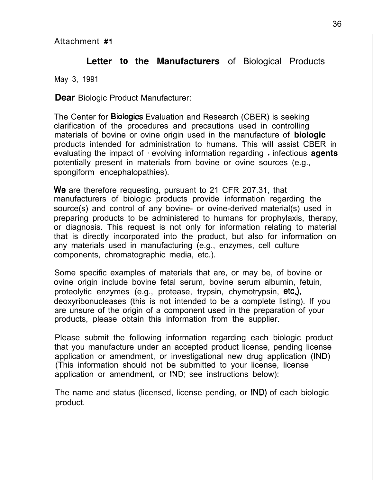# **Letter to the Manufacturers** of Biological Products

May 3, 1991

**Dear** Biologic Product Manufacturer:

The Center for Biologics Evaluation and Research (CBER) is seeking clarification of the procedures and precautions used in controlling materials of bovine or ovine origin used in the manufacture of **biologic** products intended for administration to humans. This will assist CBER in evaluating the impact of I evolving information regarding - infectious **agents** potentially present in materials from bovine or ovine sources (e.g., spongiform encephalopathies).

We are therefore requesting, pursuant to 21 CFR 207.31, that manufacturers of biologic products provide information regarding the source(s) and control of any bovine- or ovine-derived material(s) used in preparing products to be administered to humans for prophylaxis, therapy, or diagnosis. This request is not only for information relating to material that is directly incorporated into the product, but also for information on any materials used in manufacturing (e.g., enzymes, cell culture components, chromatographic media, etc.).

Some specific examples of materials that are, or may be, of bovine or ovine origin include bovine fetal serum, bovine serum albumin, fetuin, proteolytic enzymes (e.g., protease, trypsin, chymotrypsin, etc.), deoxyribonucleases (this is not intended to be a complete listing). If you are unsure of the origin of a component used in the preparation of your products, please obtain this information from the supplier.

Please submit the following information regarding each biologic product that you manufacture under an accepted product license, pending license application or amendment, or investigational new drug application (IND) (This information should not be submitted to your license, license application or amendment, or IND; see instructions below):

The name and status (licensed, license pending, or IND) of each biologic product.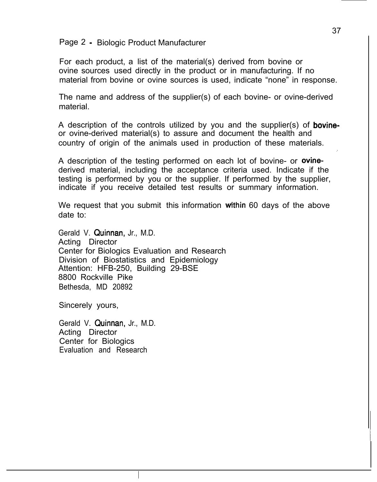Page 2 - Biologic Product Manufacturer

For each product, a list of the material(s) derived from bovine or ovine sources used directly in the product or in manufacturing. If no material from bovine or ovine sources is used, indicate "none" in response.

The name and address of the supplier(s) of each bovine- or ovine-derived material.

A description of the controls utilized by you and the supplier(s) of **bovine**or ovine-derived material(s) to assure and document the health and country of origin of the animals used in production of these materials.

A description of the testing performed on each lot of bovine- or ovinederived material, including the acceptance criteria used. Indicate if the testing is performed by you or the supplier. If performed by the supplier, indicate if you receive detailed test results or summary information.

We request that you submit this information within 60 days of the above date to:

Gerald V. Quinnan, Jr., M.D. Acting Director Center for Biologics Evaluation and Research Division of Biostatistics and Epidemiology Attention: HFB-250, Building 29-BSE 8800 Rockville Pike Bethesda, MD 20892

Sincerely yours,

Gerald V. Quinnan, Jr., M.D. Acting Director Center for Biologics Evaluation and Research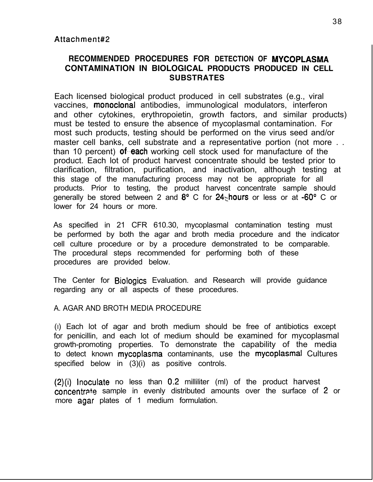## **RECOMMENDED PROCEDURES FOR DETECTION OF MYCOPLASMA CONTAMINATION IN BIOLOGICAL PRODUCTS PRODUCED IN CELL SUBSTRATES**

Each licensed biological product produced in cell substrates (e.g., viral vaccines, monoclonal antibodies, immunological modulators, interferon and other cytokines, erythropoietin, growth factors, and similar products) must be tested to ensure the absence of mycoplasmal contamination. For most such products, testing should be performed on the virus seed and/or master cell banks, cell substrate and a representative portion (not more . . than 10 percent) of each working cell stock used for manufacture of the product. Each lot of product harvest concentrate should be tested prior to clarification, filtration, purification, and inactivation, although testing at this stage of the manufacturing process may not be appropriate for all products. Prior to testing, the product harvest concentrate sample should generally be stored between 2 and  $8^{\circ}$  C for 24 hours or less or at -60 $^{\circ}$  C or lower for 24 hours or more.

As specified in 21 CFR 610.30, mycoplasmal contamination testing must be performed by both the agar and broth media procedure and the indicator cell culture procedure or by a procedure demonstrated to be comparable. The procedural steps recommended for performing both of these procedures are provided below.

The Center for Biologics Evaluation. and Research will provide guidance regarding any or all aspects of these procedures.

### A. AGAR AND BROTH MEDIA PROCEDURE

(I) Each lot of agar and broth medium should be free of antibiotics except for penicillin, and each lot of medium should be examined for mycoplasmal growth-promoting properties. To demonstrate the capability of the media to detect known mycoplasma contaminants, use the mycoplasmal Cultures specified below in (3)(i) as positive controls.

(2)(i) Inoculate no less than 0.2 milliliter (ml) of the product harvest concentrate sample in evenly distributed amounts over the surface of 2 or more agar plates of 1 medium formulation.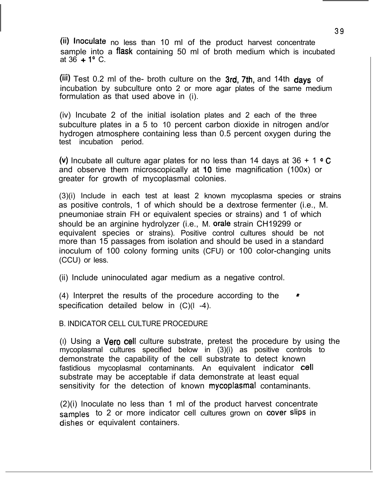(ii) Inoculate no less than 10 ml of the product harvest concentrate sample into a flask containing 50 ml of broth medium which is incubated at  $36 + 1^{\circ}$  C.

(iii) Test 0.2 ml of the- broth culture on the  $3rd$ , 7th, and 14th days of incubation by subculture onto 2 or more agar plates of the same medium formulation as that used above in (i).

(iv) Incubate 2 of the initial isolation plates and 2 each of the three subculture plates in a 5 to 10 percent carbon dioxide in nitrogen and/or hydrogen atmosphere containing less than 0.5 percent oxygen during the test incubation period.

(v) Incubate all culture agar plates for no less than 14 days at  $36 + 1 \cdot C$ and observe them microscopically at IO time magnification (100x) or greater for growth of mycoplasmal colonies.

(3)(i) Include in each test at least 2 known mycoplasma species or strains as positive controls, 1 of which should be a dextrose fermenter (i.e., M. pneumoniae strain FH or equivalent species or strains) and 1 of which should be an arginine hydrolyzer (i.e., M. orale strain CH19299 or equivalent species or strains). Positive control cultures should be not more than 15 passages from isolation and should be used in a standard inoculum of 100 colony forming units (CFU) or 100 color-changing units (CCU) or less.

(ii) Include uninoculated agar medium as a negative control.

 $(4)$  Interpret the results of the procedure according to the specification detailed below in (C)(l -4).

B. INDICATOR CELL CULTURE PROCEDURE

(I) Using a Vera cell culture substrate, pretest the procedure by using the mycoplasmal cultures specified below in (3)(i) as positive controls to demonstrate the capability of the cell substrate to detect known fastidious mycoplasmal contaminants. An equivalent indicator cell substrate may be acceptable if data demonstrate at least equal sensitivity for the detection of known mycoplasmal contaminants.

(2)(i) Inoculate no less than 1 ml of the product harvest concentrate samples to 2 or more indicator cell cultures grown on cover slips in dishes or equivalent containers.